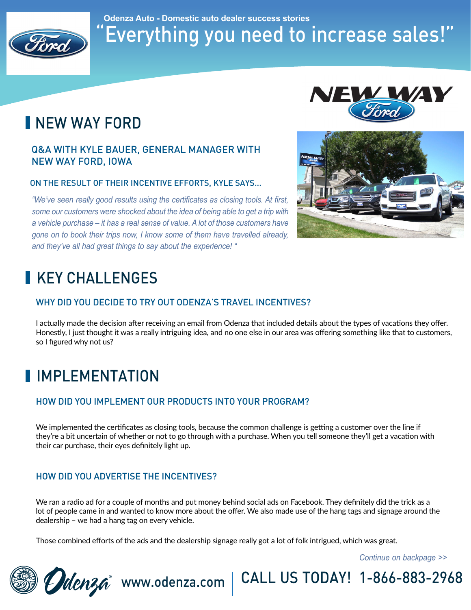

## "Everything you need to increase sales!" **Odenza Auto - Domestic auto dealer success stories**

# INEW WAY FORD

### Q&A WITH KYLE BAUER, GENERAL MANAGER WITH NEW WAY FORD, IOWA

#### ON THE RESULT OF THEIR INCENTIVE EFFORTS, KYLE SAYS...

*"We've seen really good results using the certificates as closing tools. At first, some our customers were shocked about the idea of being able to get a trip with a vehicle purchase – it has a real sense of value. A lot of those customers have gone on to book their trips now, I know some of them have travelled already, and they've all had great things to say about the experience! "*





# KEY CHALLENGES

### WHY DID YOU DECIDE TO TRY OUT ODENZA'S TRAVEL INCENTIVES?

I actually made the decision after receiving an email from Odenza that included details about the types of vacations they offer. Honestly, I just thought it was a really intriguing idea, and no one else in our area was offering something like that to customers, so I figured why not us?

# **I**IMPLEMENTATION

### HOW DID YOU IMPLEMENT OUR PRODUCTS INTO YOUR PROGRAM?

We implemented the certificates as closing tools, because the common challenge is getting a customer over the line if they're a bit uncertain of whether or not to go through with a purchase. When you tell someone they'll get a vacation with their car purchase, their eyes definitely light up.

### HOW DID YOU ADVERTISE THE INCENTIVES?

We ran a radio ad for a couple of months and put money behind social ads on Facebook. They definitely did the trick as a lot of people came in and wanted to know more about the offer. We also made use of the hang tags and signage around the dealership – we had a hang tag on every vehicle.

Udenza<sup>®</sup> www.odenza.com | CALL US TODAY! 1-866-883-2968

Those combined efforts of the ads and the dealership signage really got a lot of folk intrigued, which was great.

*Continue on backpage >>*